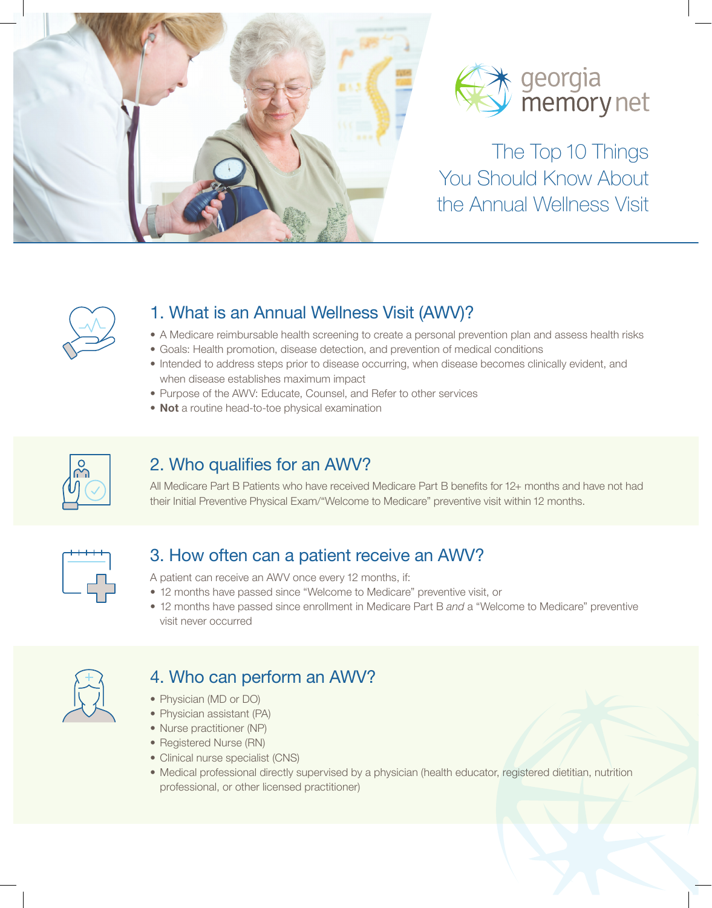



The Top 10 Things You Should Know About the Annual Wellness Visit



## 1. What is an Annual Wellness Visit (AWV)?

- A Medicare reimbursable health screening to create a personal prevention plan and assess health risks
- Goals: Health promotion, disease detection, and prevention of medical conditions
- Intended to address steps prior to disease occurring, when disease becomes clinically evident, and when disease establishes maximum impact
- Purpose of the AWV: Educate, Counsel, and Refer to other services
- Not a routine head-to-toe physical examination



#### 2. Who qualifies for an AWV?

All Medicare Part B Patients who have received Medicare Part B benefits for 12+ months and have not had their Initial Preventive Physical Exam/"Welcome to Medicare" preventive visit within 12 months.



#### 3. How often can a patient receive an AWV?

A patient can receive an AWV once every 12 months, if:

- 12 months have passed since "Welcome to Medicare" preventive visit, or
- 12 months have passed since enrollment in Medicare Part B and a "Welcome to Medicare" preventive visit never occurred



# 4. Who can perform an AWV?

- Physician (MD or DO)
- Physician assistant (PA)
- Nurse practitioner (NP)
- Registered Nurse (RN)
- Clinical nurse specialist (CNS)
- Medical professional directly supervised by a physician (health educator, registered dietitian, nutrition professional, or other licensed practitioner)